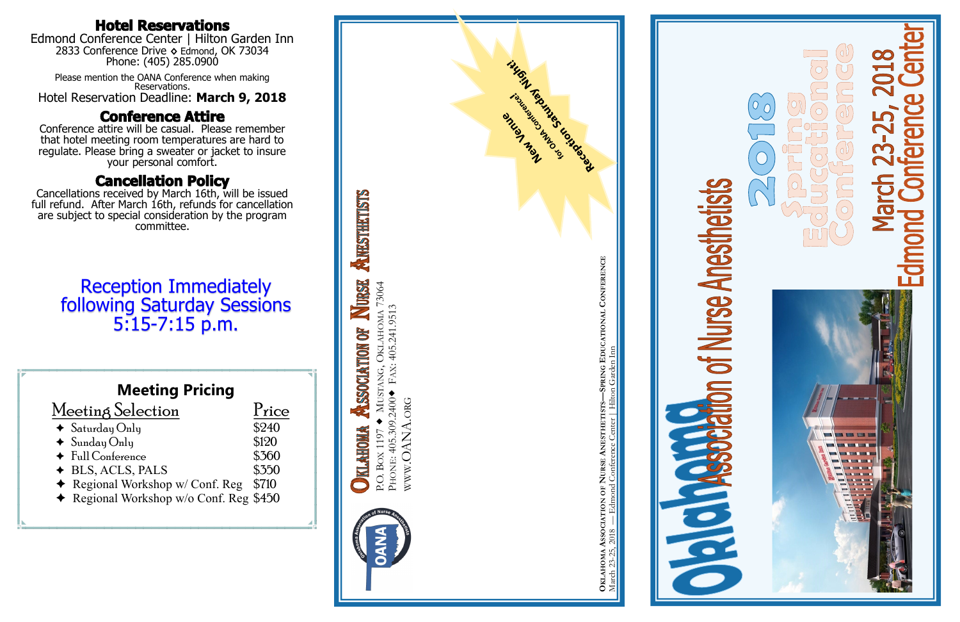### **Hotel Reservations**



Edmond Conference Center | Hilton Garden Inn 2833 Conference Drive **◊** Edmond, OK 73034 Phone: (405) 285.0900

Please mention the OANA Conference when making Reservations.

Hotel Reservation Deadline: **March 9, 2018**

## **Conference Attire**

Conference attire will be casual. Please remember that hotel meeting room temperatures are hard to regulate. Please bring a sweater or jacket to insure your personal comfort.

## **Cancellation Policy**

Cancellations received by March 16th, will be issued full refund. After March 16th, refunds for cancellation are subject to special consideration by the program committee.





## Reception Immediately following Saturday Sessions 5:15 -7:15 p.m.